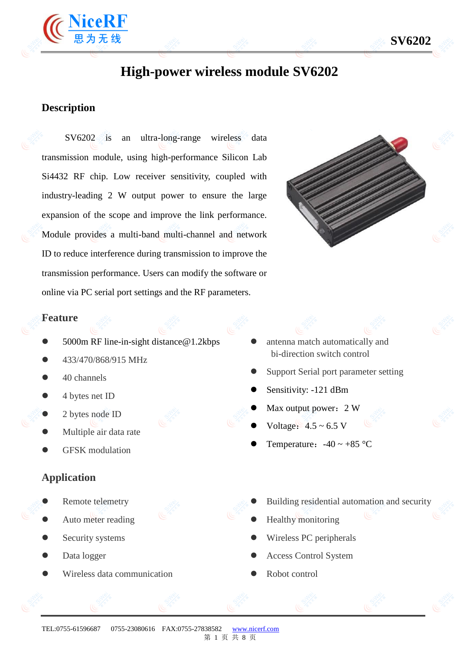

## **Description**

SV6202 is an ultra-long-range wireless data transmission module, using high-performance Silicon Lab Si4432 RF chip. Low receiver sensitivity, coupled with industry-leading 2 W output power to ensure the large expansion of the scope and improve the link performance. Module provides a multi-band multi-channel and network ID to reduce interference during transmission to improve the transmission performance. Users can modify the software or online via PC serial port settings and the RF parameters.



## **Feature**

- 5000m RF line-in-sight distance@1.2kbps
- 433/470/868/915 MHz
- 40 channels
- 4 bytes net ID
- 2 bytes node ID
- Multiple air data rate
- GFSK modulation

### **Application**

- Remote telemetry
- Auto meter reading
- Security systems
- Data logger
- Wireless data communication
- antenna match automatically and bi-direction switch control
- Support Serial port parameter setting
- Sensitivity: -121 dBm
- Max output power: 2 W
- Voltage:  $4.5 \sim 6.5$  V
- Temperature:  $-40 \sim +85$  °C
- Building residential automation and security
- Healthy monitoring
- Wireless PC peripherals
- Access Control System
- Robot control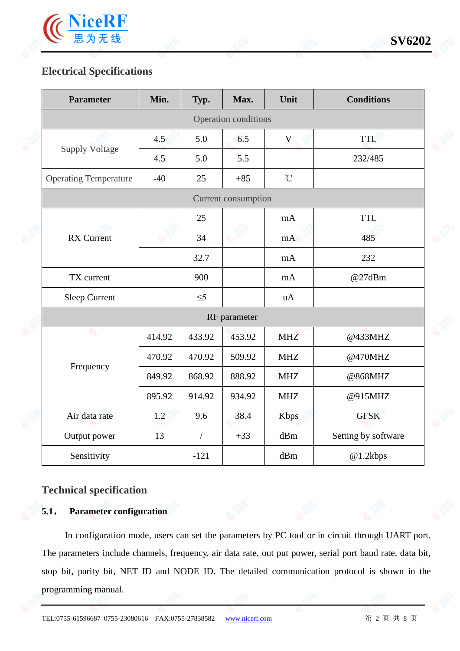

# **Electrical Specifications**

| <b>Parameter</b>             | Min.         | Typ.           | Max.                 | Unit            | <b>Conditions</b>   |  |  |
|------------------------------|--------------|----------------|----------------------|-----------------|---------------------|--|--|
|                              |              |                | Operation conditions |                 |                     |  |  |
|                              | 4.5          | 5.0            | 6.5                  | $\mathbf V$     | TTL                 |  |  |
| <b>Supply Voltage</b>        | 4.5          | 5.0            | 5.5                  |                 | 232/485             |  |  |
| <b>Operating Temperature</b> | $-40$        | 25             | $+85$                | $\rm ^{\circ}C$ |                     |  |  |
|                              |              |                | Current consumption  |                 |                     |  |  |
|                              |              | 25             |                      | mA              | <b>TTL</b>          |  |  |
| <b>RX</b> Current            |              | 34             |                      | mA              | 485                 |  |  |
|                              |              | 32.7           |                      | mA              | 232                 |  |  |
| TX current                   |              | 900            |                      | mA              | @27dBm              |  |  |
| <b>Sleep Current</b>         |              | $\leq$ 5       |                      | uA              |                     |  |  |
|                              | RF parameter |                |                      |                 |                     |  |  |
| عا                           | 414.92       | 433.92         | 453.92               | <b>MHZ</b>      | @433MHZ             |  |  |
|                              | 470.92       | 470.92         | 509.92               | <b>MHZ</b>      | @470MHZ             |  |  |
| Frequency                    | 849.92       | 868.92         | 888.92               | <b>MHZ</b>      | @868MHZ             |  |  |
|                              | 895.92       | 914.92         | 934.92               | <b>MHZ</b>      | @915MHZ             |  |  |
| Air data rate                | 1.2          | 9.6            | 38.4                 | <b>Kbps</b>     | <b>GFSK</b>         |  |  |
| Output power                 | 13           | $\overline{1}$ | $+33$                | dBm             | Setting by software |  |  |
| Sensitivity                  |              | $-121$         |                      | dBm             | @1.2kbps            |  |  |

## **Technical specification**

## **5.1**, **Parameter configuration**

In configuration mode, users can set the parameters by PC tool or in circuit through UART port. The parameters include channels, frequency, air data rate, out put power, serial port baud rate, data bit, stop bit, parity bit, NET ID and NODE ID. The detailed communication protocol is shown in the programming manual.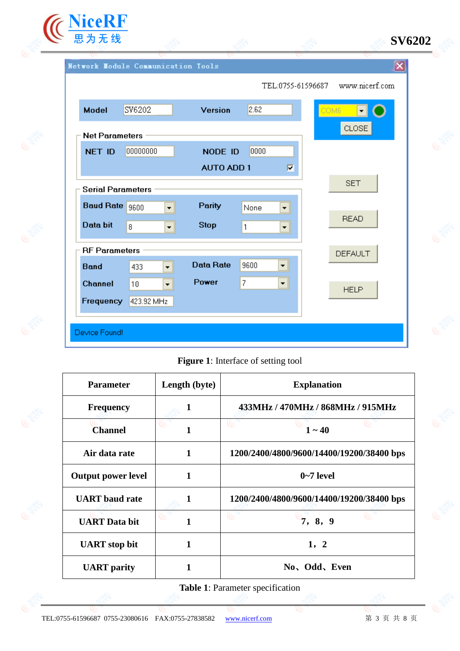

| <b>Model</b>             | SV6202                                 | Version           | 2.62           |                      | COM6 | $\vert \cdot \vert$ |
|--------------------------|----------------------------------------|-------------------|----------------|----------------------|------|---------------------|
| <b>Net Parameters</b>    |                                        |                   |                |                      |      | CLOSE               |
| <b>NET ID</b>            | 00000000                               | NODE ID           | 0000           |                      |      |                     |
|                          |                                        | <b>AUTO ADD 1</b> |                | Г                    |      |                     |
| <b>Serial Parameters</b> |                                        |                   |                |                      |      | <b>SET</b>          |
| Baud Rate 9600           | $\overline{\phantom{0}}$               | Parity            | None           | ▼                    |      |                     |
| Data bit                 | $\overline{8}$<br>▾∥                   | <b>Stop</b>       | 1              | $\blacktriangledown$ |      | <b>READ</b>         |
|                          | <b>RF</b> Parameters<br><b>DEFAULT</b> |                   |                |                      |      |                     |
| <b>Band</b>              | 433<br>$\overline{\phantom{a}}$        | <b>Data Rate</b>  | 9600           | $\blacktriangledown$ |      |                     |
| Channel                  | 10<br>$\overline{\phantom{0}}$         | Power             | $\overline{7}$ | $\blacktriangledown$ |      | <b>HELP</b>         |
| Frequency                | 423.92 MHz                             |                   |                |                      |      |                     |

**Figure 1**: Interface of setting tool

| <b>Parameter</b>          | Length (byte) | <b>Explanation</b>                        |
|---------------------------|---------------|-------------------------------------------|
| <b>Frequency</b>          |               | 433MHz / 470MHz / 868MHz / 915MHz         |
| <b>Channel</b>            |               | $1 - 40$                                  |
| Air data rate             | 1             | 1200/2400/4800/9600/14400/19200/38400 bps |
| <b>Output power level</b> | 1             | $0-7$ level                               |
| <b>UART</b> baud rate     | 1             | 1200/2400/4800/9600/14400/19200/38400 bps |
| <b>UART</b> Data bit      | 1             | 7, 8, 9                                   |
| <b>UART</b> stop bit      | 1             | 1, 2                                      |
| <b>UART</b> parity        |               | No. Odd, Even                             |

**Table 1**: Parameter specification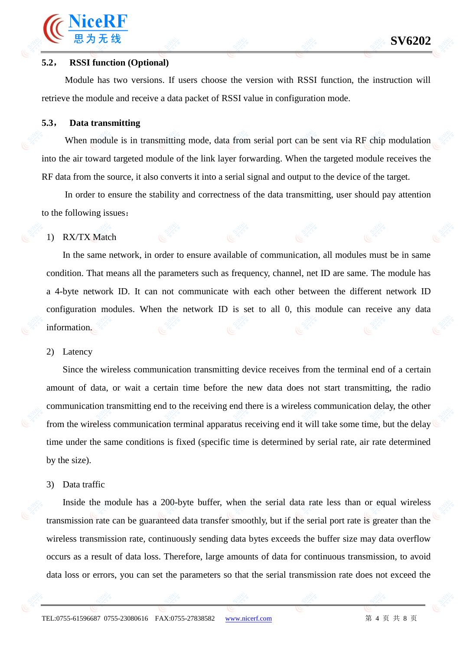### **5.2**, **RSSI function (Optional)**

ViceRl

Module has two versions. If users choose the version with RSSI function, the instruction will retrieve the module and receive a data packet of RSSI value in configuration mode.

### **5.3**, **Data transmitting**

When module is in transmitting mode, data from serial port can be sent via RF chip modulation into the air toward targeted module of the link layer forwarding. When the targeted module receives the RF data from the source, it also converts it into a serial signal and output to the device of the target.

In order to ensure the stability and correctness of the data transmitting, user should pay attention to the following issues:

#### 1) RX/TX Match

In the same network, in order to ensure available of communication, all modules must be in same condition. That means all the parameters such as frequency, channel, net ID are same. The module has a 4-byte network ID. It can not communicate with each other between the different network ID configuration modules. When the network ID is set to all 0, this module can receive any data information.

#### 2) Latency

Since the wireless communication transmitting device receives from the terminal end of a certain amount of data, or wait a certain time before the new data does not start transmitting, the radio communication transmitting end to the receiving end there is a wireless communication delay, the other from the wireless communication terminal apparatus receiving end it will take some time, but the delay time under the same conditions is fixed (specific time is determined by serial rate, air rate determined by the size).

#### 3) Data traffic

Inside the module has a 200-byte buffer, when the serial data rate less than or equal wireless transmission rate can be guaranteed data transfer smoothly, but if the serial port rate is greater than the wireless transmission rate, continuously sending data bytes exceeds the buffer size may data overflow occurs as a result of data loss. Therefore, large amounts of data for continuous transmission, to avoid data loss or errors, you can set the parameters so that the serial transmission rate does not exceed the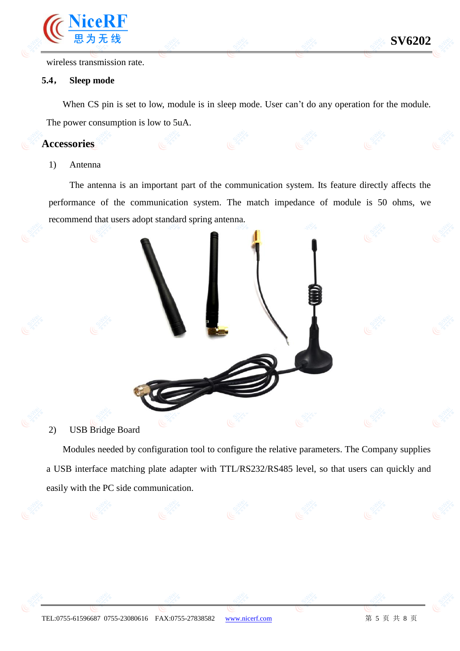wireless transmission rate.

### **5.4**, **Sleep mode**

When CS pin is set to low, module is in sleep mode. User can't do any operation for the module. The power consumption is low to 5uA.

### **Accessories**

#### 1) Antenna

The antenna is an important part of the communication system. Its feature directly affects the performance of the communication system. The match impedance of module is 50 ohms, we recommend that users adopt standard spring antenna.



Modules needed by configuration tool to configure the relative parameters. The Company supplies a USB interface matching plate adapter with TTL/RS232/RS485 level, so that users can quickly and easily with the PC side communication.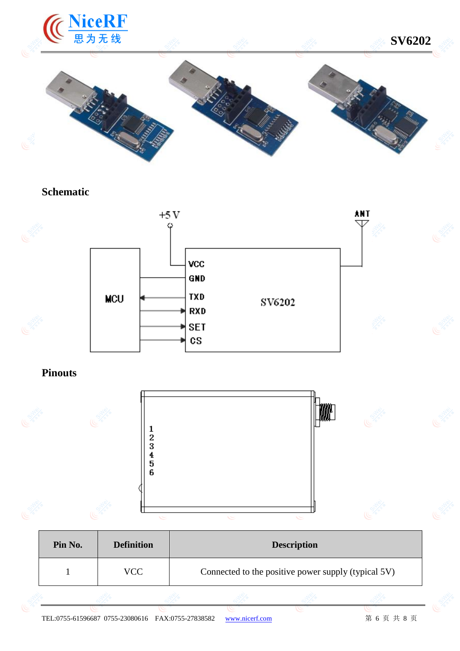

## **Schematic**



# **Pinouts**



| Pin No. | <b>Definition</b> | <b>Description</b>                                  |
|---------|-------------------|-----------------------------------------------------|
|         | VCC.              | Connected to the positive power supply (typical 5V) |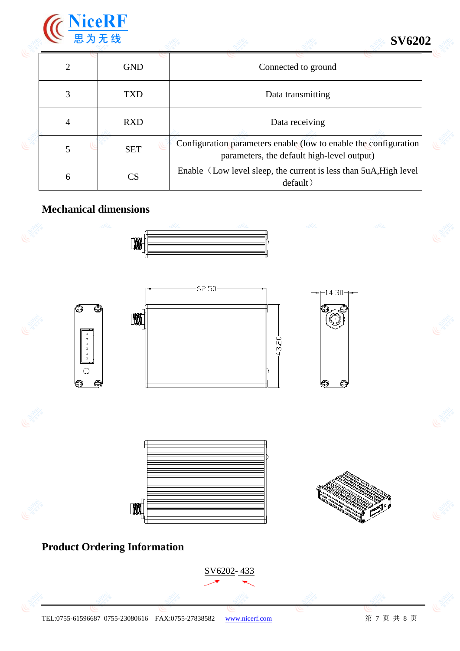

# **SV6202**

|   | <b>GND</b> | Connected to ground                                                                                            |
|---|------------|----------------------------------------------------------------------------------------------------------------|
|   | <b>TXD</b> | Data transmitting                                                                                              |
| 4 | <b>RXD</b> | Data receiving                                                                                                 |
|   | <b>SET</b> | Configuration parameters enable (low to enable the configuration<br>parameters, the default high-level output) |
| 6 | CS         | Enable (Low level sleep, the current is less than 5uA, High level<br>default)                                  |

# **Mechanical dimensions**